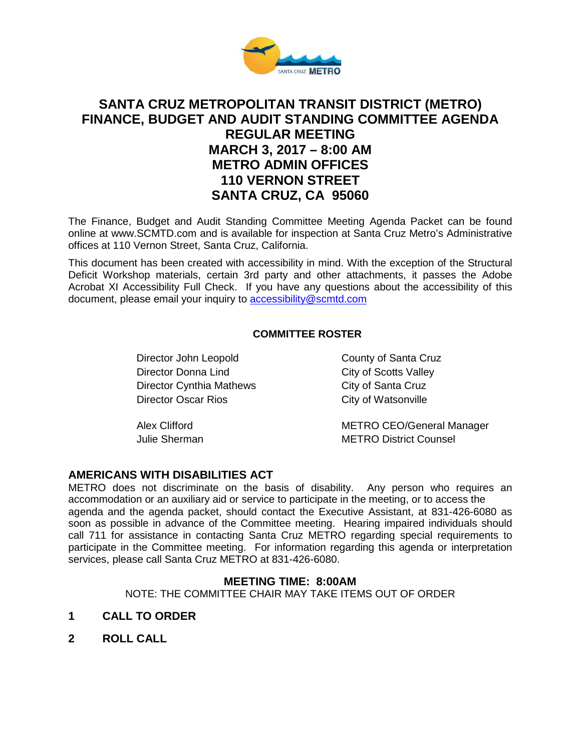

# **SANTA CRUZ METROPOLITAN TRANSIT DISTRICT (METRO) FINANCE, BUDGET AND AUDIT STANDING COMMITTEE AGENDA REGULAR MEETING MARCH 3, 2017 – 8:00 AM METRO ADMIN OFFICES 110 VERNON STREET SANTA CRUZ, CA 95060**

The Finance, Budget and Audit Standing Committee Meeting Agenda Packet can be found online at www.SCMTD.com and is available for inspection at Santa Cruz Metro's Administrative offices at 110 Vernon Street, Santa Cruz, California.

This document has been created with accessibility in mind. With the exception of the Structural Deficit Workshop materials, certain 3rd party and other attachments, it passes the Adobe Acrobat XI Accessibility Full Check. If you have any questions about the accessibility of this document, please email your inquiry to [accessibility@scmtd.com](mailto:accessibility@scmtd.com)

## **COMMITTEE ROSTER**

Director John Leopold County of Santa Cruz Director Donna Lind City of Scotts Valley Director Cynthia Mathews City of Santa Cruz Director Oscar Rios City of Watsonville

Alex Clifford METRO CEO/General Manager Julie Sherman METRO District Counsel

# **AMERICANS WITH DISABILITIES ACT**

METRO does not discriminate on the basis of disability. Any person who requires an accommodation or an auxiliary aid or service to participate in the meeting, or to access the agenda and the agenda packet, should contact the Executive Assistant, at 831-426-6080 as soon as possible in advance of the Committee meeting. Hearing impaired individuals should call 711 for assistance in contacting Santa Cruz METRO regarding special requirements to participate in the Committee meeting. For information regarding this agenda or interpretation services, please call Santa Cruz METRO at 831-426-6080.

#### **MEETING TIME: 8:00AM**

NOTE: THE COMMITTEE CHAIR MAY TAKE ITEMS OUT OF ORDER

- **1 CALL TO ORDER**
- **2 ROLL CALL**